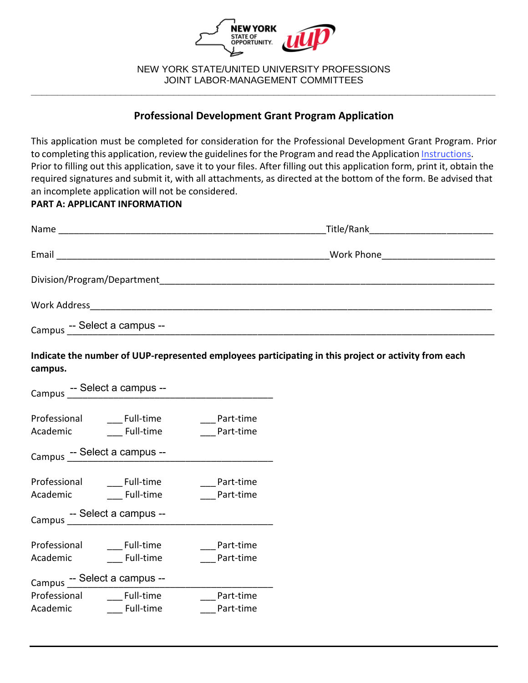

NEW YORK STATE/UNITED UNIVERSITY PROFESSIONS JOINT LABOR-MANAGEMENT COMMITTEES **\_\_\_\_\_\_\_\_\_\_\_\_\_\_\_\_\_\_\_\_\_\_\_\_\_\_\_\_\_\_\_\_\_\_\_\_\_\_\_\_\_\_\_\_\_\_\_\_\_\_\_\_\_\_\_\_\_\_\_\_\_\_\_\_\_\_\_\_\_\_\_\_\_\_\_\_\_\_\_\_\_\_\_\_\_\_\_\_**

# **Professional Development Grant Program Application**

This application must be completed for consideration for the Professional Development Grant Program. Prior to completing this application, review the guidelines for the Program and read the Application [Instructions](https://oer.ny.gov/instructions-completing-fillable-pdf-application). Prior to filling out this application, save it to your files. After filling out this application form, print it, obtain the required signatures and submit it, with all attachments, as directed at the bottom of the form. Be advised that an incomplete application will not be considered.

## **PART A: APPLICANT INFORMATION**

| Name                         |                                    |
|------------------------------|------------------------------------|
| Email                        | Work Phone <u>________________</u> |
|                              |                                    |
| Work Address                 |                                    |
| Campus -- Select a campus -- |                                    |

**Indicate the number of UUP-represented employees participating in this project or activity from each campus.** 

| Campus -- Select a campus --                             |                                      |                        |  |  |  |
|----------------------------------------------------------|--------------------------------------|------------------------|--|--|--|
| Professional<br>Academic                                 | <b>Full-time</b><br><b>Full-time</b> | Part-time<br>Part-time |  |  |  |
|                                                          | Campus -- Select a campus --         |                        |  |  |  |
| Professional<br>Academic<br>Campus -- Select a campus -- | <b>Full-time</b><br><b>Full-time</b> | Part-time<br>Part-time |  |  |  |
| Professional<br>Academic                                 | <b>Full-time</b><br><b>Full-time</b> | Part-time<br>Part-time |  |  |  |
| Campus -- Select a campus --                             |                                      |                        |  |  |  |
| Professional Full-time<br>Academic                       | Full-time                            | Part-time<br>Part-time |  |  |  |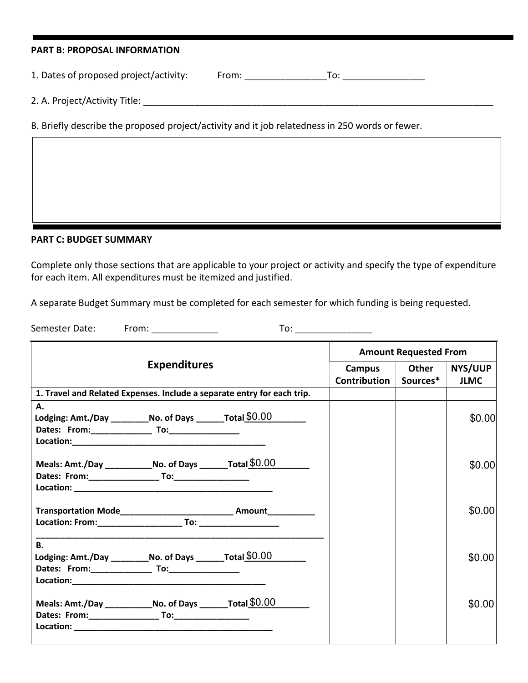| <b>PART B: PROPOSAL INFORMATION</b>                                                             |                                                                                                                                                                                                                                                                                                                                                                                                                          |  |
|-------------------------------------------------------------------------------------------------|--------------------------------------------------------------------------------------------------------------------------------------------------------------------------------------------------------------------------------------------------------------------------------------------------------------------------------------------------------------------------------------------------------------------------|--|
| 1. Dates of proposed project/activity:                                                          | From: $\frac{1}{\sqrt{1-\frac{1}{2}}}\frac{1}{\sqrt{1-\frac{1}{2}}}\frac{1}{\sqrt{1-\frac{1}{2}}}\frac{1}{\sqrt{1-\frac{1}{2}}}\frac{1}{\sqrt{1-\frac{1}{2}}}\frac{1}{\sqrt{1-\frac{1}{2}}}\frac{1}{\sqrt{1-\frac{1}{2}}}\frac{1}{\sqrt{1-\frac{1}{2}}}\frac{1}{\sqrt{1-\frac{1}{2}}}\frac{1}{\sqrt{1-\frac{1}{2}}}\frac{1}{\sqrt{1-\frac{1}{2}}}\frac{1}{\sqrt{1-\frac{1}{2}}}\frac{1}{\sqrt{1-\frac{1}{2}}}\frac{1}{\$ |  |
| 2. A. Project/Activity Title:                                                                   |                                                                                                                                                                                                                                                                                                                                                                                                                          |  |
| B. Briefly describe the proposed project/activity and it job relatedness in 250 words or fewer. |                                                                                                                                                                                                                                                                                                                                                                                                                          |  |
|                                                                                                 |                                                                                                                                                                                                                                                                                                                                                                                                                          |  |
|                                                                                                 |                                                                                                                                                                                                                                                                                                                                                                                                                          |  |

### **PART C: BUDGET SUMMARY**

Complete only those sections that are applicable to your project or activity and specify the type of expenditure for each item. All expenditures must be itemized and justified.

A separate Budget Summary must be completed for each semester for which funding is being requested.

Semester Date: From: \_\_\_\_\_\_\_\_\_\_\_\_\_  $To:$ 

|                                                                                              |                     | <b>Amount Requested From</b> |                                     |       |                               |
|----------------------------------------------------------------------------------------------|---------------------|------------------------------|-------------------------------------|-------|-------------------------------|
|                                                                                              | <b>Expenditures</b> |                              | Campus  <br>Contribution   Sources* | Other | <b>NYS/UUP</b><br><b>JLMC</b> |
| 1. Travel and Related Expenses. Include a separate entry for each trip.                      |                     |                              |                                     |       |                               |
| А.<br>Lodging: Amt./Day ___________ No. of Days ________ Total $$0.00$                       |                     |                              |                                     |       | \$0.00                        |
| Meals: Amt./Day _______________No. of Days __________Total $$0.00$                           |                     |                              |                                     |       | \$0.00                        |
| Transportation Mode______________________________ Amount___________                          |                     |                              |                                     |       | \$0.00                        |
| <b>B.</b><br>Lodging: Amt./Day ____________No. of Days __________Total $\underline{\$0.00\}$ |                     |                              |                                     |       | \$0.00                        |
| Meals: Amt./Day ________________No. of Days ___________ Total $$0.00$                        |                     |                              |                                     |       | \$0.00                        |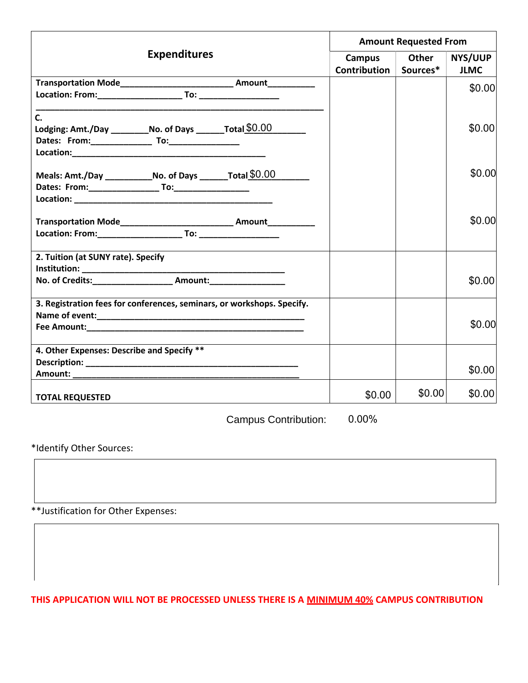|                                                                                                                                                                                                                                | <b>Amount Requested From</b> |          |                |
|--------------------------------------------------------------------------------------------------------------------------------------------------------------------------------------------------------------------------------|------------------------------|----------|----------------|
| <b>Expenditures</b>                                                                                                                                                                                                            | Campus                       | Other    | <b>NYS/UUP</b> |
|                                                                                                                                                                                                                                | Contribution                 | Sources* | <b>JLMC</b>    |
| Transportation Mode___________________________________ Amount___________________                                                                                                                                               |                              |          | \$0.00         |
|                                                                                                                                                                                                                                |                              |          |                |
| $\mathsf{C}$ .                                                                                                                                                                                                                 |                              |          |                |
| Lodging: Amt./Day _____________No. of Days __________Total $$0.00$                                                                                                                                                             |                              |          | \$0.00         |
|                                                                                                                                                                                                                                |                              |          |                |
|                                                                                                                                                                                                                                |                              |          |                |
|                                                                                                                                                                                                                                |                              |          |                |
| Meals: Amt./Day ______________No. of Days _________ Total \$0.00                                                                                                                                                               |                              |          | \$0.00         |
|                                                                                                                                                                                                                                |                              |          |                |
|                                                                                                                                                                                                                                |                              |          |                |
| Transportation Mode_________________________________ Amount_____________                                                                                                                                                       |                              |          | \$0.00         |
|                                                                                                                                                                                                                                |                              |          |                |
|                                                                                                                                                                                                                                |                              |          |                |
| 2. Tuition (at SUNY rate). Specify                                                                                                                                                                                             |                              |          |                |
|                                                                                                                                                                                                                                |                              |          |                |
| No. of Credits:___________________________ Amount:______________________________                                                                                                                                               |                              |          | \$0.00         |
|                                                                                                                                                                                                                                |                              |          |                |
| 3. Registration fees for conferences, seminars, or workshops. Specify.                                                                                                                                                         |                              |          |                |
| Fee Amount: The Second Second Second Second Second Second Second Second Second Second Second Second Second Second Second Second Second Second Second Second Second Second Second Second Second Second Second Second Second Sec |                              |          | \$0.00         |
|                                                                                                                                                                                                                                |                              |          |                |
| 4. Other Expenses: Describe and Specify **                                                                                                                                                                                     |                              |          |                |
|                                                                                                                                                                                                                                |                              |          |                |
|                                                                                                                                                                                                                                |                              |          | \$0.00         |
| <b>TOTAL REQUESTED</b>                                                                                                                                                                                                         | \$0.00                       | \$0.00   | \$0.00         |
|                                                                                                                                                                                                                                |                              |          |                |

Campus Contribution: 0.00%

\*Identify Other Sources:

\*\*Justification for Other Expenses:

**THIS APPLICATION WILL NOT BE PROCESSED UNLESS THERE IS A MINIMUM 40% CAMPUS CONTRIBUTION**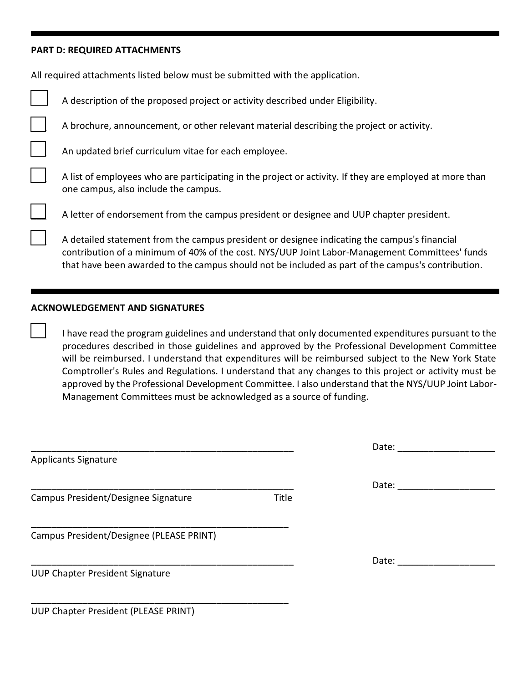#### **PART D: REQUIRED ATTACHMENTS**

All required attachments listed below must be submitted with the application.

| A description of the proposed project or activity described under Eligibility.                                                                                                                                                                                                                      |
|-----------------------------------------------------------------------------------------------------------------------------------------------------------------------------------------------------------------------------------------------------------------------------------------------------|
| A brochure, announcement, or other relevant material describing the project or activity.                                                                                                                                                                                                            |
| An updated brief curriculum vitae for each employee.                                                                                                                                                                                                                                                |
| A list of employees who are participating in the project or activity. If they are employed at more than<br>one campus, also include the campus.                                                                                                                                                     |
| A letter of endorsement from the campus president or designee and UUP chapter president.                                                                                                                                                                                                            |
| A detailed statement from the campus president or designee indicating the campus's financial<br>contribution of a minimum of 40% of the cost. NYS/UUP Joint Labor-Management Committees' funds<br>that have been awarded to the campus should not be included as part of the campus's contribution. |

### **ACKNOWLEDGEMENT AND SIGNATURES**

I have read the program guidelines and understand that only documented expenditures pursuant to the procedures described in those guidelines and approved by the Professional Development Committee will be reimbursed. I understand that expenditures will be reimbursed subject to the New York State Comptroller's Rules and Regulations. I understand that any changes to this project or activity must be approved by the Professional Development Committee. I also understand that the NYS/UUP Joint Labor-Management Committees must be acknowledged as a source of funding.

|                                          |       | Date: |  |
|------------------------------------------|-------|-------|--|
| <b>Applicants Signature</b>              |       |       |  |
|                                          |       | Date: |  |
| Campus President/Designee Signature      | Title |       |  |
| Campus President/Designee (PLEASE PRINT) |       |       |  |
|                                          |       | Date: |  |
| <b>UUP Chapter President Signature</b>   |       |       |  |
| UUP Chapter President (PLEASE PRINT)     |       |       |  |